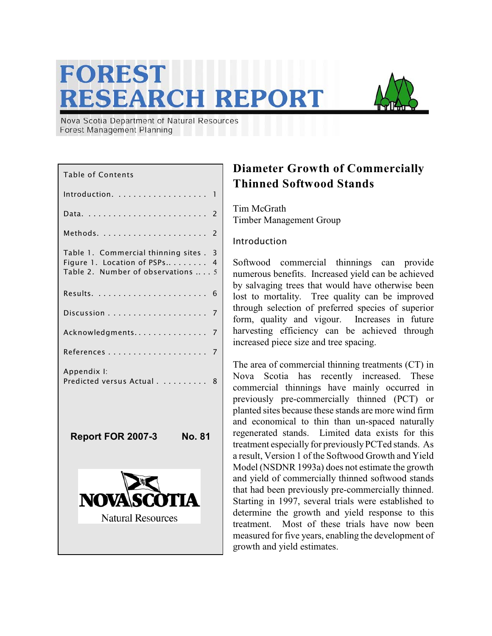# **FOREST RESEARCH REPORT**



Nova Scotia Department of Natural Resources Forest Management Planning

# **Diameter Growth of Commercially Thinned Softwood Stands**

Tim McGrath Timber Management Group

### Introduction

Softwood commercial thinnings can provide numerous benefits. Increased yield can be achieved by salvaging trees that would have otherwise been lost to mortality. Tree quality can be improved through selection of preferred species of superior form, quality and vigour. Increases in future harvesting efficiency can be achieved through increased piece size and tree spacing.

The area of commercial thinning treatments (CT) in Nova Scotia has recently increased. These commercial thinnings have mainly occurred in previously pre-commercially thinned (PCT) or planted sites because these stands are more wind firm and economical to thin than un-spaced naturally regenerated stands. Limited data exists for this treatment especially for previously PCTed stands. As a result, Version 1 of the Softwood Growth and Yield Model (NSDNR 1993a) does not estimate the growth and yield of commercially thinned softwood stands that had been previously pre-commercially thinned. Starting in 1997, several trials were established to determine the growth and yield response to this treatment. Most of these trials have now been measured for five years, enabling the development of growth and yield estimates.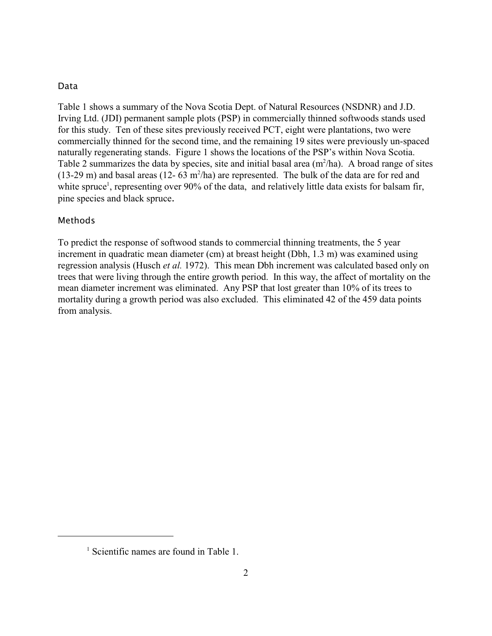#### Data

Table 1 shows a summary of the Nova Scotia Dept. of Natural Resources (NSDNR) and J.D. Irving Ltd. (JDI) permanent sample plots (PSP) in commercially thinned softwoods stands used for this study. Ten of these sites previously received PCT, eight were plantations, two were commercially thinned for the second time, and the remaining 19 sites were previously un-spaced naturally regenerating stands. Figure 1 shows the locations of the PSP's within Nova Scotia. Table 2 summarizes the data by species, site and initial basal area  $(m^2/ha)$ . A broad range of sites (13-29 m) and basal areas (12- 63 m<sup>2</sup>/ha) are represented. The bulk of the data are for red and white spruce<sup>1</sup>, representing over 90% of the data, and relatively little data exists for balsam fir, pine species and black spruce.

#### Methods

To predict the response of softwood stands to commercial thinning treatments, the 5 year increment in quadratic mean diameter (cm) at breast height (Dbh, 1.3 m) was examined using regression analysis (Husch *et al.* 1972). This mean Dbh increment was calculated based only on trees that were living through the entire growth period. In this way, the affect of mortality on the mean diameter increment was eliminated. Any PSP that lost greater than 10% of its trees to mortality during a growth period was also excluded. This eliminated 42 of the 459 data points from analysis.

 $<sup>1</sup>$  Scientific names are found in Table 1.</sup>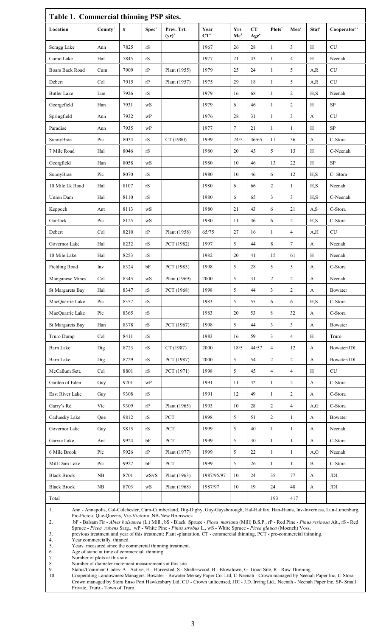| Table 1. Commercial thinning PSP sites. |                     |      |                                                                |                        |                         |                               |                        |                    |                  |                   |                                                  |  |  |
|-----------------------------------------|---------------------|------|----------------------------------------------------------------|------------------------|-------------------------|-------------------------------|------------------------|--------------------|------------------|-------------------|--------------------------------------------------|--|--|
| Location                                | Countv <sup>1</sup> | $\#$ | Spec <sup>2</sup>                                              | Prev. Trt.<br>$(yr)^3$ | Year<br>CT <sup>4</sup> | <b>Yrs</b><br>Me <sup>5</sup> | CT<br>Age <sup>6</sup> | Plots <sup>7</sup> | Mea <sup>s</sup> | Stat <sup>9</sup> | Cooperator <sup>10</sup>                         |  |  |
| Scragg Lake                             | Ann                 | 7825 | rS                                                             |                        | 1967                    | 26                            | 28                     | 1                  | 3                | Η                 | CU                                               |  |  |
| Como Lake                               | Hal                 | 7845 | rS                                                             |                        | 1977                    | 21                            | 43                     | 1                  | $\overline{4}$   | Η                 | Neenah                                           |  |  |
| <b>Boars Back Road</b>                  | Cum                 | 7909 | rP                                                             | Plant (1955)           | 1979                    | 25                            | 24                     | 1                  | 5                | A, R              | CU                                               |  |  |
| Debert                                  | Col                 | 7915 | rP                                                             | Plant (1957)           | 1975                    | 29                            | 18                     | 1                  | 5                | A, R              | CU                                               |  |  |
| <b>Butler Lake</b>                      | Lun                 | 7926 | $\ensuremath{\mathrm{rS}}$                                     |                        | 1979                    | 16                            | 68                     | 1                  | $\overline{c}$   | H, S              | Neenah                                           |  |  |
| Georgefield                             | Han                 | 7931 | wS                                                             |                        | 1979                    | 6                             | 46                     | $\mathbf{1}$       | $\overline{c}$   | Η                 | ${\rm SP}$                                       |  |  |
| Springfield                             | Ann                 | 7932 | wP                                                             |                        | 1976                    | 28                            | 31                     | $\mathbf{1}$       | 3                | A                 | CU                                               |  |  |
| Paradise                                | Ann                 | 7935 | $\ensuremath{\text{w}}\ensuremath{\text{P}}$                   |                        | 1977                    | $\tau$                        | $21\,$                 | $\mathbf{1}$       | $\mathbf{1}$     | $\rm H$           | $\ensuremath{\mathbf{S}}\ensuremath{\mathbf{P}}$ |  |  |
| SunnyBrae                               | Pic                 | 8034 | $\ensuremath{\mathrm{rS}}$                                     | CT (1980)              | 1999                    | 24/5                          | 46/65                  | 11                 | 36               | A                 | C-Stora                                          |  |  |
| 7 Mile Road                             | Hal                 | 8046 | rS                                                             |                        | 1980                    | 20                            | 43                     | 5                  | 13               | Η                 | C-Neenah                                         |  |  |
| Georgfield                              | Han                 | 8058 | wS                                                             |                        | 1980                    | 10                            | 46                     | 13                 | 22               | Η                 | <b>SP</b>                                        |  |  |
| SunnyBrae                               | Pic                 | 8070 | $\ensuremath{\mathrm{rS}}$                                     |                        | 1980                    | 10                            | 46                     | 6                  | 12               | H, S              | C-Stora                                          |  |  |
| 10 Mile Lk Road                         | Hal                 | 8107 | $\ensuremath{\mathrm{rS}}$                                     |                        | 1980                    | 6                             | 66                     | $\overline{2}$     | $\mathbf{1}$     | H,S               | Neenah                                           |  |  |
| Union Dam                               | Hal                 | 8110 | rS                                                             |                        | 1980                    | 6                             | 65                     | 3                  | 3                | H,S               | C-Neenah                                         |  |  |
| Keppoch                                 | Ant                 | 8113 | wS                                                             |                        | 1980                    | 21                            | 43                     | 6                  | 21               | A,S               | C-Stora                                          |  |  |
| Gairlock                                | Pic                 | 8125 | $\mathbf{w}\mathbf{S}$                                         |                        | 1980                    | 11                            | 46                     | 6                  | $\sqrt{2}$       | H, S              | C-Stora                                          |  |  |
| Debert                                  | Col                 | 8210 | $\ensuremath{\mathrm{r}}\xspace\ensuremath{\mathrm{P}}\xspace$ | Plant (1958)           | 65/75                   | 27                            | 16                     | 1                  | $\overline{4}$   | A, H              | CU                                               |  |  |
| Governor Lake                           | Hal                 | 8232 | rS                                                             | PCT (1982)             | 1997                    | 5                             | 44                     | $\,8\,$            | $\tau$           | A                 | Neenah                                           |  |  |
| 10 Mile Lake                            | Hal                 | 8253 | rS                                                             |                        | 1982                    | 20                            | 41                     | 15                 | 61               | Η                 | Neenah                                           |  |  |
| <b>Fielding Road</b>                    | Inv                 | 8324 | bF                                                             | PCT (1983)             | 1998                    | 5                             | 28                     | 5                  | 5                | A                 | C-Stora                                          |  |  |
| Manganese Mines                         | Col                 | 8345 | $\bold{w}\bold{S}$                                             | Plant (1969)           | 2000                    | 5                             | 31                     | $\overline{2}$     | $\overline{c}$   | A                 | Neenah                                           |  |  |
| St Margarets Bay                        | $\rm{H}al$          | 8347 | $\ensuremath{\mathrm{rS}}$                                     | PCT (1968)             | 1998                    | 5                             | 44                     | $\mathfrak{Z}$     | $\overline{c}$   | A                 | Bowater                                          |  |  |
| MacQuarrie Lake                         | Pic                 | 8357 | rS                                                             |                        | 1983                    | 5                             | 55                     | 6                  | 6                | H, S              | C-Stora                                          |  |  |
| MacQuarrie Lake                         | Pic                 | 8365 | $\ensuremath{\mathrm{rS}}$                                     |                        | 1983                    | 20                            | 53                     | 8                  | $32\,$           | $\mathbf{A}$      | C-Stora                                          |  |  |
| St Margarets Bay                        | Han                 | 8378 | $\ensuremath{\mathbf{r}}\ensuremath{\mathbf{S}}$               | PCT (1967)             | 1998                    | 5                             | 44                     | $\mathfrak{Z}$     | 3                | A                 | Bowater                                          |  |  |
| Truro Dump                              | Col                 | 8411 | rS                                                             |                        | 1983                    | 16                            | 59                     | $\overline{3}$     | $\overline{4}$   | H                 | Truro                                            |  |  |
| Barn Lake                               | Dig                 | 8723 | rS                                                             | CT (1987)              | 2000                    | 18/5                          | 44/57                  | $\overline{4}$     | 12               | A                 | Bowater/JDI                                      |  |  |
| Barn Lake                               | Dig                 | 8729 | rS                                                             | PCT (1987)             | 2000                    | 5                             | 54                     | $\overline{2}$     | $\overline{2}$   | A                 | Bowater/JDI                                      |  |  |
| McCallum Sett.                          | Col                 | 8801 | rS                                                             | PCT (1971)             | 1998                    | 5                             | 45                     | $\overline{4}$     | $\overline{4}$   | Н                 | CU                                               |  |  |
| Garden of Eden                          | Guy                 | 9201 | wP                                                             |                        | 1991                    | 11                            | 42                     | $\mathbf{1}$       | $\overline{c}$   | A                 | C-Stora                                          |  |  |
| East River Lake                         | Guy                 | 9308 | rS                                                             |                        | 1991                    | 12                            | 49                     | $\mathbf{1}$       | $\sqrt{2}$       | A                 | C-Stora                                          |  |  |
| Garry's Rd                              | Vic                 | 9309 | rP                                                             | Plant (1965)           | 1993                    | 10                            | 28                     | $\overline{2}$     | $\overline{4}$   | A,G               | C-Stora                                          |  |  |
| Caduesky Lake                           | Que                 | 9812 | rS                                                             | <b>PCT</b>             | 1998                    | 5                             | 51                     | $\overline{2}$     | $\mathbf{1}$     | A                 | Bowater                                          |  |  |
| Governor Lake                           | Guy                 | 9815 | rS                                                             | PCT                    | 1999                    | 5                             | 40                     | $\mathbf{1}$       | $\mathbf{1}$     | A                 | Neenah                                           |  |  |
| Garvie Lake                             | Ant                 | 9924 | bF                                                             | PCT                    | 1999                    | 5                             | 30                     | $\mathbf{1}$       | $\mathbf{1}$     | A                 | C-Stora                                          |  |  |
| 6 Mile Brook                            | Pic                 | 9926 | rP                                                             | Plant (1977)           | 1999                    | 5                             | 22                     | $\mathbf{1}$       | $\mathbf{1}$     | A,G               | Neenah                                           |  |  |
| Mill Dam Lake                           | Pic                 | 9927 | bF                                                             | <b>PCT</b>             | 1999                    | 5                             | 26                     | $\mathbf{1}$       | $\mathbf{1}$     | $\, {\bf B}$      | C-Stora                                          |  |  |
| <b>Black Brook</b>                      | ${\rm NB}$          | 8701 | wS/rS                                                          | Plant (1963)           | 1987/95/97              | 10                            | $24\,$                 | 35                 | 77               | A                 | <b>JDI</b>                                       |  |  |
| <b>Black Brook</b>                      | ${\rm NB}$          | 8703 | ${\bf wS}$                                                     | Plant (1968)           | 1987/97                 | 10                            | 19                     | 24                 | 48               | $\mathbf{A}$      | JDI                                              |  |  |
| Total                                   |                     |      |                                                                |                        |                         |                               |                        | 193                | 417              |                   |                                                  |  |  |

1. Ann - Annapolis, Col-Colchester, Cum-Cumberland, Dig-Digby, Guy-Guysborough, Hal-Halifax, Han-Hants, Inv-Inverness, Lun-Lunenburg, Pic-Pictou, Que-Queens, Vic-Victoria ,NB-New Brunswick .

2. bF - Balsam Fir - *Abies balsamea* (L.) Mill., bS - Black Spruce - *Picea mariana* (Mill) B.S.P., rP - Red Pine - *Pinus resinosa* Ait., rS - Red Spruce - *Picea rubens* Sarg., wP - White Pine - *Pinus strobus* L., wS - White Spruce - *Picea glauca* (Moench) Voss.

3. previous treatment and year of this treatment: Plant -plantation, CT - commercial thinning, PCT - pre-commercial thinning.

4. Year commercially thinned.

Spruce - *Picea rubens* Sarg., wP - White Pine - *Pinus stre*<br>
5. previous treatment and year of this treatment: Plant - planta<br>
4. Years measured since the commercial thinning treatment.<br>
6. Age of stand at time of commer

6. Age of stand at time of commercial thinning.

7. Number of plots at this site.

Number of diameter increment measurements at this site.

9. Status/Comment Codes: A - Active, H - Harvested, S - Shelterwood, B - Blowdown, G- Good Site, R - Row Thinning

10. Cooperating Landowners/Managers: Bowater - Bowater Mersey Paper Co. Ltd, C-Neenah - Crown managed by Neenah Paper Inc, C-Stora - Crown managed by Stora Enso Port Hawkesbury Ltd, CU - Crown unlicensed, JDI - J.D. Irving Ltd., Neenah - Neenah Paper Inc, SP- Small Private, Truro - Town of Truro.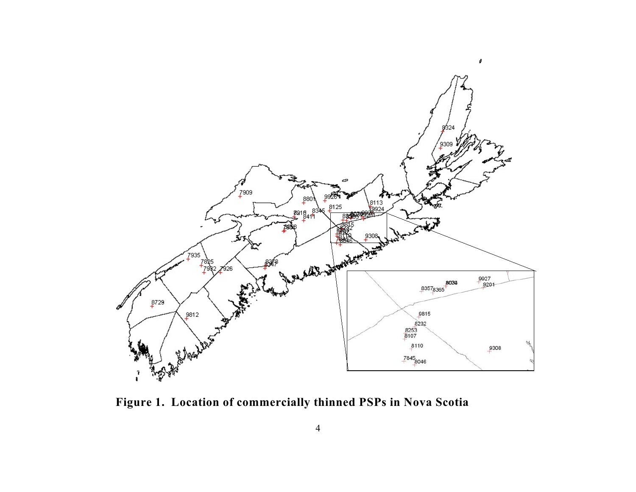

**Figure 1. Location of commercially thinned PSPs in Nova Scotia**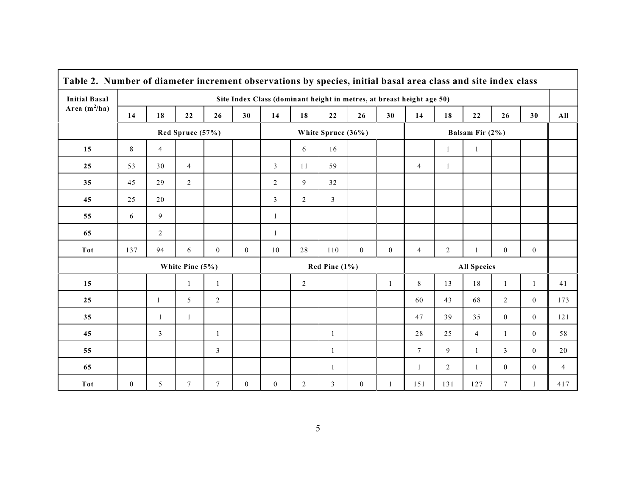| Table 2. Number of diameter increment observations by species, initial basal area class and site index class |                                                                       |                |                 |              |                    |                |                  |                |              |                |                 |                    |                |                |                |                |
|--------------------------------------------------------------------------------------------------------------|-----------------------------------------------------------------------|----------------|-----------------|--------------|--------------------|----------------|------------------|----------------|--------------|----------------|-----------------|--------------------|----------------|----------------|----------------|----------------|
| <b>Initial Basal</b>                                                                                         | Site Index Class (dominant height in metres, at breast height age 50) |                |                 |              |                    |                |                  |                |              |                |                 |                    |                |                |                |                |
| Area $(m^2/ha)$                                                                                              | 14                                                                    | 18             | 22              | 26           | 30                 | 14             | 18               | 22             | 26           | 30             | 14              | 18                 | 22             | 26             | 30             | All            |
|                                                                                                              | Red Spruce (57%)                                                      |                |                 |              | White Spruce (36%) |                |                  |                |              |                |                 |                    |                |                |                |                |
| 15                                                                                                           | 8                                                                     | $\overline{4}$ |                 |              |                    |                | 6                | 16             |              |                |                 | $\mathbf{1}$       | $\mathbf{1}$   |                |                |                |
| 25                                                                                                           | 53                                                                    | 30             | $\overline{4}$  |              |                    | $\mathfrak{Z}$ | 11               | 59             |              |                | $\overline{4}$  | $\mathbf{1}$       |                |                |                |                |
| 35                                                                                                           | 45                                                                    | 29             | $\overline{2}$  |              |                    | 2              | 9                | 32             |              |                |                 |                    |                |                |                |                |
| 45                                                                                                           | 25                                                                    | 20             |                 |              |                    | $\overline{3}$ | 2                | $\overline{3}$ |              |                |                 |                    |                |                |                |                |
| 55                                                                                                           | 6                                                                     | 9              |                 |              |                    | $\mathbf{1}$   |                  |                |              |                |                 |                    |                |                |                |                |
| 65                                                                                                           |                                                                       | 2              |                 |              |                    | $\mathbf{1}$   |                  |                |              |                |                 |                    |                |                |                |                |
| <b>Tot</b>                                                                                                   | 137                                                                   | 94             | 6               | $\mathbf{0}$ | $\overline{0}$     | 10             | 28               | 110            | $\mathbf{0}$ | $\overline{0}$ | $\overline{4}$  | $\overline{c}$     | $\mathbf{1}$   | $\mathbf{0}$   | $\overline{0}$ |                |
|                                                                                                              | White Pine $(5%)$                                                     |                |                 |              |                    |                | Red Pine $(1\%)$ |                |              |                |                 | <b>All Species</b> |                |                |                |                |
| 15                                                                                                           |                                                                       |                | $\mathbf{1}$    | $\mathbf{1}$ |                    |                | $\overline{c}$   |                |              | $\mathbf{1}$   | $\,8\,$         | 13                 | 18             | $\mathbf{1}$   | $\mathbf{1}$   | 41             |
| 25                                                                                                           |                                                                       | 1              | 5               | 2            |                    |                |                  |                |              |                | 60              | 43                 | 68             | $\overline{2}$ | $\mathbf{0}$   | 173            |
| 35                                                                                                           |                                                                       | $\mathbf{1}$   | $\mathbf{1}$    |              |                    |                |                  |                |              |                | 47              | 39                 | 35             | $\mathbf{0}$   | $\mathbf{0}$   | 121            |
| 45                                                                                                           |                                                                       | $\mathfrak{Z}$ |                 | $\mathbf{1}$ |                    |                |                  | 1              |              |                | 28              | 25                 | $\overline{4}$ | $\mathbf{1}$   | $\mathbf{0}$   | 58             |
| 55                                                                                                           |                                                                       |                |                 | 3            |                    |                |                  | 1              |              |                | $7\phantom{.0}$ | 9                  | 1              | 3              | $\mathbf{0}$   | 20             |
| 65                                                                                                           |                                                                       |                |                 |              |                    |                |                  | 1              |              |                | 1               | 2                  | -1             | $\mathbf{0}$   | $\mathbf{0}$   | $\overline{4}$ |
| Tot                                                                                                          | $\mathbf{0}$                                                          | 5              | $7\phantom{.0}$ | $\tau$       | $\boldsymbol{0}$   | $\mathbf{0}$   | 2                | 3              | $\mathbf{0}$ | $\mathbf{1}$   | 151             | 131                | 127            | $\tau$         | $\mathbf{1}$   | 417            |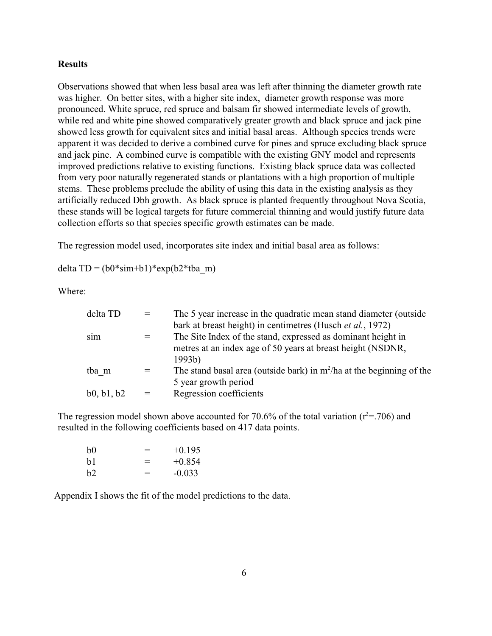#### **Results**

Observations showed that when less basal area was left after thinning the diameter growth rate was higher. On better sites, with a higher site index, diameter growth response was more pronounced. White spruce, red spruce and balsam fir showed intermediate levels of growth, while red and white pine showed comparatively greater growth and black spruce and jack pine showed less growth for equivalent sites and initial basal areas. Although species trends were apparent it was decided to derive a combined curve for pines and spruce excluding black spruce and jack pine. A combined curve is compatible with the existing GNY model and represents improved predictions relative to existing functions. Existing black spruce data was collected from very poor naturally regenerated stands or plantations with a high proportion of multiple stems. These problems preclude the ability of using this data in the existing analysis as they artificially reduced Dbh growth. As black spruce is planted frequently throughout Nova Scotia, these stands will be logical targets for future commercial thinning and would justify future data collection efforts so that species specific growth estimates can be made.

The regression model used, incorporates site index and initial basal area as follows:

delta TD =  $(b0*sim+b1)*exp(b2*ba_m)$ 

Where:

| $=$ | The 5 year increase in the quadratic mean stand diameter (outside       |
|-----|-------------------------------------------------------------------------|
|     | bark at breast height) in centimetres (Husch et al., 1972)              |
|     | The Site Index of the stand, expressed as dominant height in            |
|     | metres at an index age of 50 years at breast height (NSDNR,             |
|     | 1993b)                                                                  |
|     | The stand basal area (outside bark) in $m^2/ha$ at the beginning of the |
|     | 5 year growth period                                                    |
|     | Regression coefficients                                                 |
|     |                                                                         |

The regression model shown above accounted for 70.6% of the total variation ( $r^2$ =.706) and resulted in the following coefficients based on 417 data points.

| h <sub>0</sub> | $=$ | $+0.195$ |
|----------------|-----|----------|
| h1             | $=$ | $+0.854$ |
| b2             | $=$ | $-0.033$ |

Appendix I shows the fit of the model predictions to the data.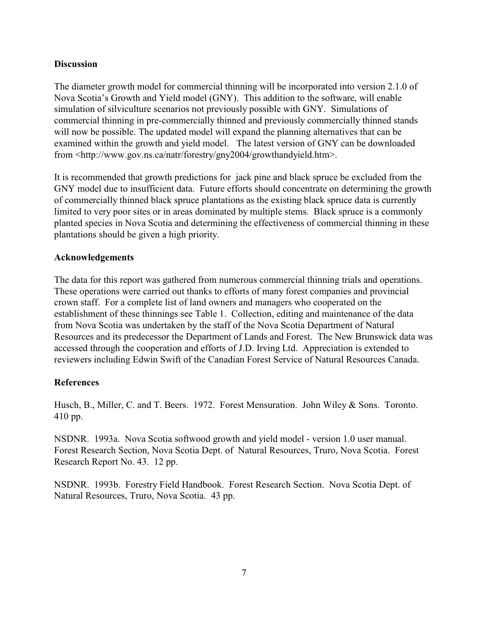#### **Discussion**

The diameter growth model for commercial thinning will be incorporated into version 2.1.0 of Nova Scotia's Growth and Yield model (GNY). This addition to the software, will enable simulation of silviculture scenarios not previously possible with GNY. Simulations of commercial thinning in pre-commercially thinned and previously commercially thinned stands will now be possible. The updated model will expand the planning alternatives that can be examined within the growth and yield model. The latest version of GNY can be downloaded from <http://www.gov.ns.ca/natr/forestry/gny2004/growthandyield.htm>.

It is recommended that growth predictions for jack pine and black spruce be excluded from the GNY model due to insufficient data. Future efforts should concentrate on determining the growth of commercially thinned black spruce plantations as the existing black spruce data is currently limited to very poor sites or in areas dominated by multiple stems. Black spruce is a commonly planted species in Nova Scotia and determining the effectiveness of commercial thinning in these plantations should be given a high priority.

#### **Acknowledgements**

The data for this report was gathered from numerous commercial thinning trials and operations. These operations were carried out thanks to efforts of many forest companies and provincial crown staff. For a complete list of land owners and managers who cooperated on the establishment of these thinnings see Table 1. Collection, editing and maintenance of the data from Nova Scotia was undertaken by the staff of the Nova Scotia Department of Natural Resources and its predecessor the Department of Lands and Forest. The New Brunswick data was accessed through the cooperation and efforts of J.D. Irving Ltd. Appreciation is extended to reviewers including Edwin Swift of the Canadian Forest Service of Natural Resources Canada.

#### **References**

Husch, B., Miller, C. and T. Beers. 1972. Forest Mensuration. John Wiley & Sons. Toronto. 410 pp.

NSDNR. 1993a. Nova Scotia softwood growth and yield model - version 1.0 user manual. Forest Research Section, Nova Scotia Dept. of Natural Resources, Truro, Nova Scotia. Forest Research Report No. 43. 12 pp.

NSDNR. 1993b. Forestry Field Handbook. Forest Research Section. Nova Scotia Dept. of Natural Resources, Truro, Nova Scotia. 43 pp.